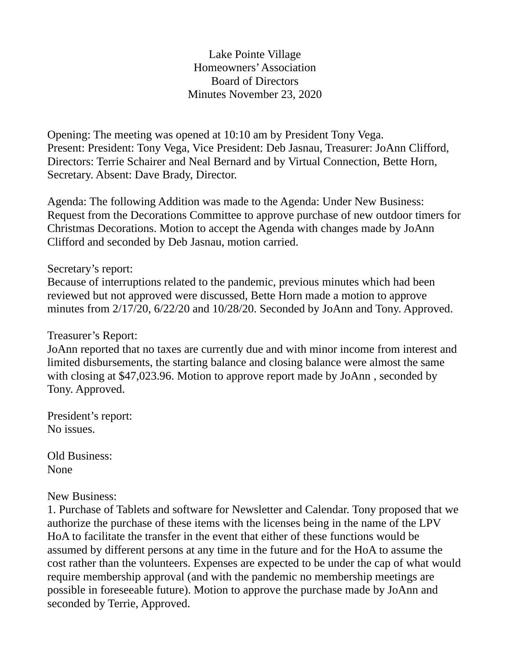Lake Pointe Village Homeowners' Association Board of Directors Minutes November 23, 2020

Opening: The meeting was opened at 10:10 am by President Tony Vega. Present: President: Tony Vega, Vice President: Deb Jasnau, Treasurer: JoAnn Clifford, Directors: Terrie Schairer and Neal Bernard and by Virtual Connection, Bette Horn, Secretary. Absent: Dave Brady, Director.

Agenda: The following Addition was made to the Agenda: Under New Business: Request from the Decorations Committee to approve purchase of new outdoor timers for Christmas Decorations. Motion to accept the Agenda with changes made by JoAnn Clifford and seconded by Deb Jasnau, motion carried.

### Secretary's report:

Because of interruptions related to the pandemic, previous minutes which had been reviewed but not approved were discussed, Bette Horn made a motion to approve minutes from 2/17/20, 6/22/20 and 10/28/20. Seconded by JoAnn and Tony. Approved.

### Treasurer's Report:

JoAnn reported that no taxes are currently due and with minor income from interest and limited disbursements, the starting balance and closing balance were almost the same with closing at \$47,023.96. Motion to approve report made by JoAnn , seconded by Tony. Approved.

President's report: No issues.

Old Business: None

### New Business:

1. Purchase of Tablets and software for Newsletter and Calendar. Tony proposed that we authorize the purchase of these items with the licenses being in the name of the LPV HoA to facilitate the transfer in the event that either of these functions would be assumed by different persons at any time in the future and for the HoA to assume the cost rather than the volunteers. Expenses are expected to be under the cap of what would require membership approval (and with the pandemic no membership meetings are possible in foreseeable future). Motion to approve the purchase made by JoAnn and seconded by Terrie, Approved.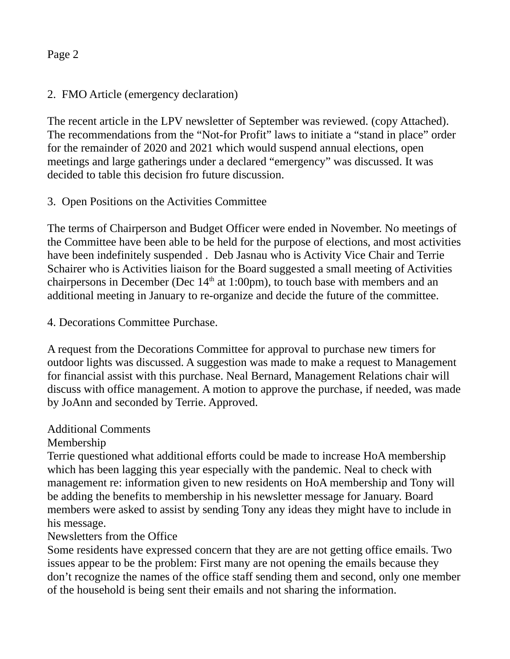## Page 2

## 2. FMO Article (emergency declaration)

The recent article in the LPV newsletter of September was reviewed. (copy Attached). The recommendations from the "Not-for Profit" laws to initiate a "stand in place" order for the remainder of 2020 and 2021 which would suspend annual elections, open meetings and large gatherings under a declared "emergency" was discussed. It was decided to table this decision fro future discussion.

# 3. Open Positions on the Activities Committee

The terms of Chairperson and Budget Officer were ended in November. No meetings of the Committee have been able to be held for the purpose of elections, and most activities have been indefinitely suspended . Deb Jasnau who is Activity Vice Chair and Terrie Schairer who is Activities liaison for the Board suggested a small meeting of Activities chairpersons in December (Dec  $14<sup>th</sup>$  at 1:00pm), to touch base with members and an additional meeting in January to re-organize and decide the future of the committee.

## 4. Decorations Committee Purchase.

A request from the Decorations Committee for approval to purchase new timers for outdoor lights was discussed. A suggestion was made to make a request to Management for financial assist with this purchase. Neal Bernard, Management Relations chair will discuss with office management. A motion to approve the purchase, if needed, was made by JoAnn and seconded by Terrie. Approved.

## Additional Comments

## Membership

Terrie questioned what additional efforts could be made to increase HoA membership which has been lagging this year especially with the pandemic. Neal to check with management re: information given to new residents on HoA membership and Tony will be adding the benefits to membership in his newsletter message for January. Board members were asked to assist by sending Tony any ideas they might have to include in his message.

## Newsletters from the Office

Some residents have expressed concern that they are are not getting office emails. Two issues appear to be the problem: First many are not opening the emails because they don't recognize the names of the office staff sending them and second, only one member of the household is being sent their emails and not sharing the information.